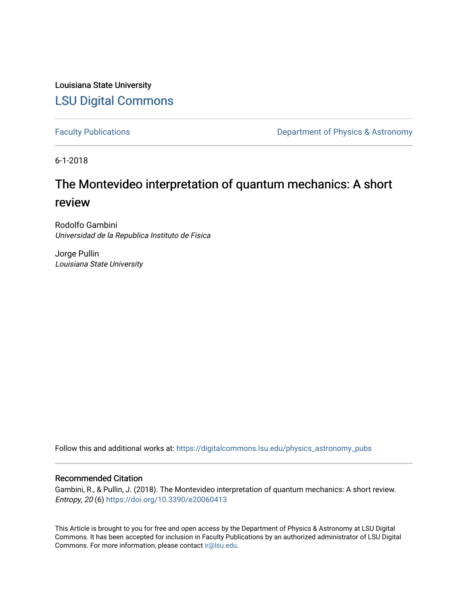Louisiana State University [LSU Digital Commons](https://digitalcommons.lsu.edu/)

[Faculty Publications](https://digitalcommons.lsu.edu/physics_astronomy_pubs) **Exercise 2 and Table 2 and Table 2 and Table 2 and Table 2 and Table 2 and Table 2 and Table 2 and Table 2 and Table 2 and Table 2 and Table 2 and Table 2 and Table 2 and Table 2 and Table 2 and Table** 

6-1-2018

# The Montevideo interpretation of quantum mechanics: A short review

Rodolfo Gambini Universidad de la Republica Instituto de Fisica

Jorge Pullin Louisiana State University

Follow this and additional works at: [https://digitalcommons.lsu.edu/physics\\_astronomy\\_pubs](https://digitalcommons.lsu.edu/physics_astronomy_pubs?utm_source=digitalcommons.lsu.edu%2Fphysics_astronomy_pubs%2F4313&utm_medium=PDF&utm_campaign=PDFCoverPages) 

# Recommended Citation

Gambini, R., & Pullin, J. (2018). The Montevideo interpretation of quantum mechanics: A short review. Entropy, 20 (6) <https://doi.org/10.3390/e20060413>

This Article is brought to you for free and open access by the Department of Physics & Astronomy at LSU Digital Commons. It has been accepted for inclusion in Faculty Publications by an authorized administrator of LSU Digital Commons. For more information, please contact [ir@lsu.edu](mailto:ir@lsu.edu).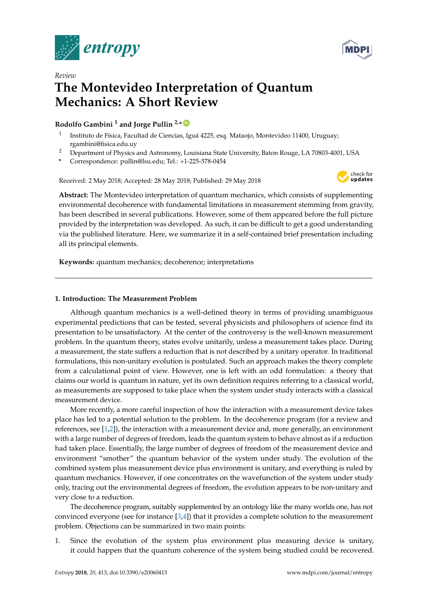

*Review*



# **The Montevideo Interpretation of Quantum Mechanics: A Short Review**

# **Rodolfo Gambini <sup>1</sup> and Jorge Pullin 2,\* [ID](https://orcid.org/0000-0001-8248-603X)**

- 1 Instituto de Física, Facultad de Ciencias, Iguá 4225, esq. Mataojo, Montevideo 11400, Uruguay; rgambini@fisica.edu.uy
- <sup>2</sup> Department of Physics and Astronomy, Louisiana State University, Baton Rouge, LA 70803-4001, USA
- **\*** Correspondence: pullin@lsu.edu; Tel.: +1-225-578-0454

Received: 2 May 2018; Accepted: 28 May 2018; Published: 29 May 2018



**Abstract:** The Montevideo interpretation of quantum mechanics, which consists of supplementing environmental decoherence with fundamental limitations in measurement stemming from gravity, has been described in several publications. However, some of them appeared before the full picture provided by the interpretation was developed. As such, it can be difficult to get a good understanding via the published literature. Here, we summarize it in a self-contained brief presentation including all its principal elements.

**Keywords:** quantum mechanics; decoherence; interpretations

# **1. Introduction: The Measurement Problem**

Although quantum mechanics is a well-defined theory in terms of providing unambiguous experimental predictions that can be tested, several physicists and philosophers of science find its presentation to be unsatisfactory. At the center of the controversy is the well-known measurement problem. In the quantum theory, states evolve unitarily, unless a measurement takes place. During a measurement, the state suffers a reduction that is not described by a unitary operator. In traditional formulations, this non-unitary evolution is postulated. Such an approach makes the theory complete from a calculational point of view. However, one is left with an odd formulation: a theory that claims our world is quantum in nature, yet its own definition requires referring to a classical world, as measurements are supposed to take place when the system under study interacts with a classical measurement device.

More recently, a more careful inspection of how the interaction with a measurement device takes place has led to a potential solution to the problem. In the decoherence program (for a review and references, see  $[1,2]$  $[1,2]$ ), the interaction with a measurement device and, more generally, an environment with a large number of degrees of freedom, leads the quantum system to behave almost as if a reduction had taken place. Essentially, the large number of degrees of freedom of the measurement device and environment "smother" the quantum behavior of the system under study. The evolution of the combined system plus measurement device plus environment is unitary, and everything is ruled by quantum mechanics. However, if one concentrates on the wavefunction of the system under study only, tracing out the environmental degrees of freedom, the evolution appears to be non-unitary and very close to a reduction.

The decoherence program, suitably supplemented by an ontology like the many worlds one, has not convinced everyone (see for instance [\[3,](#page-12-2)[4\]](#page-12-3)) that it provides a complete solution to the measurement problem. Objections can be summarized in two main points:

1. Since the evolution of the system plus environment plus measuring device is unitary, it could happen that the quantum coherence of the system being studied could be recovered.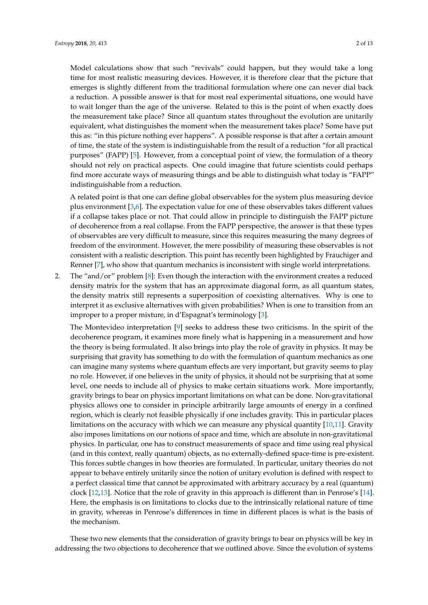Model calculations show that such "revivals" could happen, but they would take a long time for most realistic measuring devices. However, it is therefore clear that the picture that emerges is slightly different from the traditional formulation where one can never dial back a reduction. A possible answer is that for most real experimental situations, one would have to wait longer than the age of the universe. Related to this is the point of when exactly does the measurement take place? Since all quantum states throughout the evolution are unitarily equivalent, what distinguishes the moment when the measurement takes place? Some have put this as: "in this picture nothing ever happens". A possible response is that after a certain amount of time, the state of the system is indistinguishable from the result of a reduction "for all practical purposes" (FAPP) [\[5\]](#page-12-4). However, from a conceptual point of view, the formulation of a theory should not rely on practical aspects. One could imagine that future scientists could perhaps find more accurate ways of measuring things and be able to distinguish what today is "FAPP" indistinguishable from a reduction.

A related point is that one can define global observables for the system plus measuring device plus environment [\[3,](#page-12-2)[6\]](#page-12-5). The expectation value for one of these observables takes different values if a collapse takes place or not. That could allow in principle to distinguish the FAPP picture of decoherence from a real collapse. From the FAPP perspective, the answer is that these types of observables are very difficult to measure, since this requires measuring the many degrees of freedom of the environment. However, the mere possibility of measuring these observables is not consistent with a realistic description. This point has recently been highlighted by Frauchiger and Renner [\[7\]](#page-12-6), who show that quantum mechanics is inconsistent with single world interpretations.

2. The "and/or" problem [\[8\]](#page-12-7): Even though the interaction with the environment creates a reduced density matrix for the system that has an approximate diagonal form, as all quantum states, the density matrix still represents a superposition of coexisting alternatives. Why is one to interpret it as exclusive alternatives with given probabilities? When is one to transition from an improper to a proper mixture, in d'Espagnat's terminology [\[3\]](#page-12-2).

The Montevideo interpretation [\[9\]](#page-12-8) seeks to address these two criticisms. In the spirit of the decoherence program, it examines more finely what is happening in a measurement and how the theory is being formulated. It also brings into play the role of gravity in physics. It may be surprising that gravity has something to do with the formulation of quantum mechanics as one can imagine many systems where quantum effects are very important, but gravity seems to play no role. However, if one believes in the unity of physics, it should not be surprising that at some level, one needs to include all of physics to make certain situations work. More importantly, gravity brings to bear on physics important limitations on what can be done. Non-gravitational physics allows one to consider in principle arbitrarily large amounts of energy in a confined region, which is clearly not feasible physically if one includes gravity. This in particular places limitations on the accuracy with which we can measure any physical quantity [\[10](#page-12-9)[,11\]](#page-12-10). Gravity also imposes limitations on our notions of space and time, which are absolute in non-gravitational physics. In particular, one has to construct measurements of space and time using real physical (and in this context, really quantum) objects, as no externally-defined space-time is pre-existent. This forces subtle changes in how theories are formulated. In particular, unitary theories do not appear to behave entirely unitarily since the notion of unitary evolution is defined with respect to a perfect classical time that cannot be approximated with arbitrary accuracy by a real (quantum) clock [\[12,](#page-12-11)[13\]](#page-12-12). Notice that the role of gravity in this approach is different than in Penrose's [\[14\]](#page-12-13). Here, the emphasis is on limitations to clocks due to the intrinsically relational nature of time in gravity, whereas in Penrose's differences in time in different places is what is the basis of the mechanism.

These two new elements that the consideration of gravity brings to bear on physics will be key in addressing the two objections to decoherence that we outlined above. Since the evolution of systems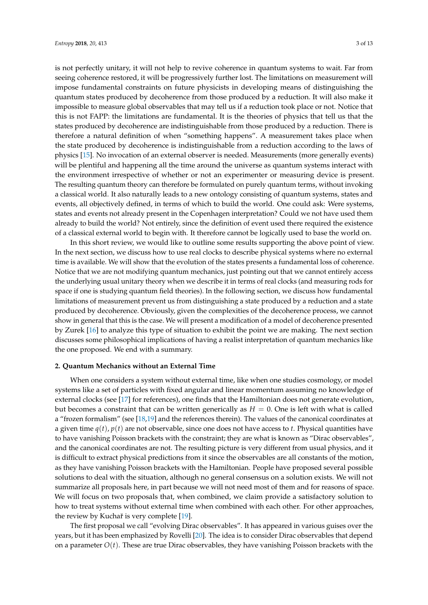is not perfectly unitary, it will not help to revive coherence in quantum systems to wait. Far from seeing coherence restored, it will be progressively further lost. The limitations on measurement will impose fundamental constraints on future physicists in developing means of distinguishing the quantum states produced by decoherence from those produced by a reduction. It will also make it impossible to measure global observables that may tell us if a reduction took place or not. Notice that this is not FAPP: the limitations are fundamental. It is the theories of physics that tell us that the states produced by decoherence are indistinguishable from those produced by a reduction. There is therefore a natural definition of when "something happens". A measurement takes place when the state produced by decoherence is indistinguishable from a reduction according to the laws of physics [\[15\]](#page-13-0). No invocation of an external observer is needed. Measurements (more generally events) will be plentiful and happening all the time around the universe as quantum systems interact with the environment irrespective of whether or not an experimenter or measuring device is present. The resulting quantum theory can therefore be formulated on purely quantum terms, without invoking a classical world. It also naturally leads to a new ontology consisting of quantum systems, states and events, all objectively defined, in terms of which to build the world. One could ask: Were systems, states and events not already present in the Copenhagen interpretation? Could we not have used them already to build the world? Not entirely, since the definition of event used there required the existence of a classical external world to begin with. It therefore cannot be logically used to base the world on.

In this short review, we would like to outline some results supporting the above point of view. In the next section, we discuss how to use real clocks to describe physical systems where no external time is available. We will show that the evolution of the states presents a fundamental loss of coherence. Notice that we are not modifying quantum mechanics, just pointing out that we cannot entirely access the underlying usual unitary theory when we describe it in terms of real clocks (and measuring rods for space if one is studying quantum field theories). In the following section, we discuss how fundamental limitations of measurement prevent us from distinguishing a state produced by a reduction and a state produced by decoherence. Obviously, given the complexities of the decoherence process, we cannot show in general that this is the case. We will present a modification of a model of decoherence presented by Zurek [\[16\]](#page-13-1) to analyze this type of situation to exhibit the point we are making. The next section discusses some philosophical implications of having a realist interpretation of quantum mechanics like the one proposed. We end with a summary.

## **2. Quantum Mechanics without an External Time**

When one considers a system without external time, like when one studies cosmology, or model systems like a set of particles with fixed angular and linear momentum assuming no knowledge of external clocks (see [\[17\]](#page-13-2) for references), one finds that the Hamiltonian does not generate evolution, but becomes a constraint that can be written generically as  $H = 0$ . One is left with what is called a "frozen formalism" (see [\[18,](#page-13-3)[19\]](#page-13-4) and the references therein). The values of the canonical coordinates at a given time  $q(t)$ ,  $p(t)$  are not observable, since one does not have access to *t*. Physical quantities have to have vanishing Poisson brackets with the constraint; they are what is known as "Dirac observables", and the canonical coordinates are not. The resulting picture is very different from usual physics, and it is difficult to extract physical predictions from it since the observables are all constants of the motion, as they have vanishing Poisson brackets with the Hamiltonian. People have proposed several possible solutions to deal with the situation, although no general consensus on a solution exists. We will not summarize all proposals here, in part because we will not need most of them and for reasons of space. We will focus on two proposals that, when combined, we claim provide a satisfactory solution to how to treat systems without external time when combined with each other. For other approaches, the review by Kuchař is very complete [\[19\]](#page-13-4).

The first proposal we call "evolving Dirac observables". It has appeared in various guises over the years, but it has been emphasized by Rovelli [\[20\]](#page-13-5). The idea is to consider Dirac observables that depend on a parameter  $O(t)$ . These are true Dirac observables, they have vanishing Poisson brackets with the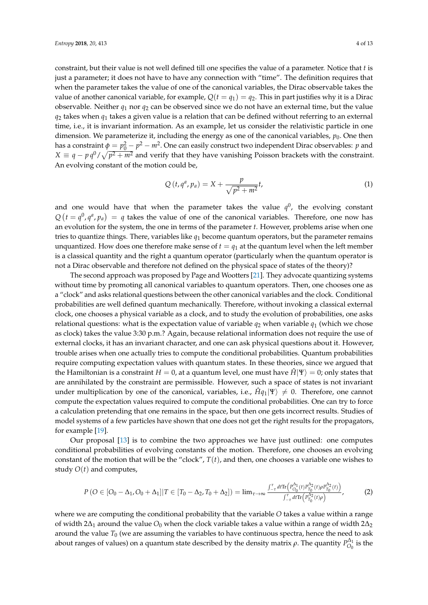constraint, but their value is not well defined till one specifies the value of a parameter. Notice that *t* is just a parameter; it does not have to have any connection with "time". The definition requires that when the parameter takes the value of one of the canonical variables, the Dirac observable takes the value of another canonical variable, for example,  $Q(t = q_1) = q_2$ . This in part justifies why it is a Dirac observable. Neither  $q_1$  nor  $q_2$  can be observed since we do not have an external time, but the value  $q_2$  takes when  $q_1$  takes a given value is a relation that can be defined without referring to an external time, i.e., it is invariant information. As an example, let us consider the relativistic particle in one dimension. We parameterize it, including the energy as one of the canonical variables,  $p_0$ . One then has a constraint  $\phi = p_0^2 - p^2 - m^2$ . One can easily construct two independent Dirac observables: *p* and  $X \equiv q - p q^0 / \sqrt{p^2 + m^2}$  and verify that they have vanishing Poisson brackets with the constraint. An evolving constant of the motion could be,

$$
Q(t, q^a, p_a) = X + \frac{p}{\sqrt{p^2 + m^2}}t,
$$
\n(1)

and one would have that when the parameter takes the value  $q^0$ , the evolving constant  $Q(t = q^0, q^a, p_a) = q$  takes the value of one of the canonical variables. Therefore, one now has an evolution for the system, the one in terms of the parameter *t*. However, problems arise when one tries to quantize things. There, variables like  $q_1$  become quantum operators, but the parameter remains unquantized. How does one therefore make sense of  $t = q_1$  at the quantum level when the left member is a classical quantity and the right a quantum operator (particularly when the quantum operator is not a Dirac observable and therefore not defined on the physical space of states of the theory)?

The second approach was proposed by Page and Wootters [\[21\]](#page-13-6). They advocate quantizing systems without time by promoting all canonical variables to quantum operators. Then, one chooses one as a "clock" and asks relational questions between the other canonical variables and the clock. Conditional probabilities are well defined quantum mechanically. Therefore, without invoking a classical external clock, one chooses a physical variable as a clock, and to study the evolution of probabilities, one asks relational questions: what is the expectation value of variable  $q_2$  when variable  $q_1$  (which we chose as clock) takes the value 3:30 p.m.? Again, because relational information does not require the use of external clocks, it has an invariant character, and one can ask physical questions about it. However, trouble arises when one actually tries to compute the conditional probabilities. Quantum probabilities require computing expectation values with quantum states. In these theories, since we argued that the Hamiltonian is a constraint  $H = 0$ , at a quantum level, one must have  $\hat{H}|\Psi\rangle = 0$ ; only states that are annihilated by the constraint are permissible. However, such a space of states is not invariant under multiplication by one of the canonical, variables, i.e.,  $\hat{H}q_1|\Psi\rangle \neq 0$ . Therefore, one cannot compute the expectation values required to compute the conditional probabilities. One can try to force a calculation pretending that one remains in the space, but then one gets incorrect results. Studies of model systems of a few particles have shown that one does not get the right results for the propagators, for example [\[19\]](#page-13-4).

Our proposal [\[13\]](#page-12-12) is to combine the two approaches we have just outlined: one computes conditional probabilities of evolving constants of the motion. Therefore, one chooses an evolving constant of the motion that will be the "clock",  $T(t)$ , and then, one chooses a variable one wishes to study  $O(t)$  and computes,

$$
P\left(O \in [O_0 - \Delta_1, O_0 + \Delta_1] | T \in [T_0 - \Delta_2, T_0 + \Delta_2] \right) = \lim_{\tau \to \infty} \frac{\int_{-\tau}^{\tau} d\tau \text{Tr} \left( P_{O_0}^{\Delta_1}(t) P_{T_0}^{\Delta_2}(t) \rho P_{T_0}^{\Delta_2}(t) \right)}{\int_{-\tau}^{\tau} d\tau \text{Tr} \left( P_{T_0}^{\Delta_2}(t) \rho \right)},
$$
(2)

where we are computing the conditional probability that the variable *O* takes a value within a range of width 2∆<sup>1</sup> around the value *O*<sup>0</sup> when the clock variable takes a value within a range of width 2∆<sup>2</sup> around the value  $T_0$  (we are assuming the variables to have continuous spectra, hence the need to ask about ranges of values) on a quantum state described by the density matrix  $\rho$ . The quantity  $P^{\Delta_1}_{O_0}$  $\int_{O_0}^{O_1}$  is the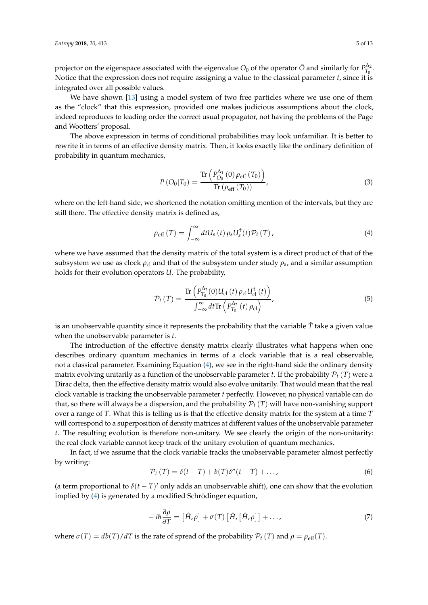projector on the eigenspace associated with the eigenvalue  $O_0$  of the operator  $\hat O$  and similarly for  $P_{T_0}^{\Delta_2}$  $T_0^{\Delta_2}$ . Notice that the expression does not require assigning a value to the classical parameter *t*, since it is integrated over all possible values.

We have shown [\[13\]](#page-12-12) using a model system of two free particles where we use one of them as the "clock" that this expression, provided one makes judicious assumptions about the clock, indeed reproduces to leading order the correct usual propagator, not having the problems of the Page and Wootters' proposal.

The above expression in terms of conditional probabilities may look unfamiliar. It is better to rewrite it in terms of an effective density matrix. Then, it looks exactly like the ordinary definition of probability in quantum mechanics,

$$
P\left(O_0|T_0\right) = \frac{\text{Tr}\left(P_{O_0}^{\Delta_1}\left(0\right)\rho_{\text{eff}}\left(T_0\right)\right)}{\text{Tr}\left(\rho_{\text{eff}}\left(T_0\right)\right)},\tag{3}
$$

where on the left-hand side, we shortened the notation omitting mention of the intervals, but they are still there. The effective density matrix is defined as,

<span id="page-5-0"></span>
$$
\rho_{\rm eff}(T) = \int_{-\infty}^{\infty} dt U_s(t) \rho_s U_s^{\dagger}(t) \mathcal{P}_t(T), \qquad (4)
$$

where we have assumed that the density matrix of the total system is a direct product of that of the  $s$ ubsystem we use as clock  $\rho_\mathrm{cl}$  and that of the subsystem under study  $\rho_s$ , and a similar assumption holds for their evolution operators *U*. The probability,

$$
\mathcal{P}_{t}(T) = \frac{\text{Tr}\left(P_{T_{0}}^{\Delta_{2}}(0)U_{\text{cl}}\left(t\right)\rho_{\text{cl}}U_{\text{cl}}^{\dagger}\left(t\right)\right)}{\int_{-\infty}^{\infty}dt\text{Tr}\left(P_{T_{0}}^{\Delta_{2}}\left(t\right)\rho_{\text{cl}}\right)},\tag{5}
$$

is an unobservable quantity since it represents the probability that the variable *T*ˆ take a given value when the unobservable parameter is *t*.

The introduction of the effective density matrix clearly illustrates what happens when one describes ordinary quantum mechanics in terms of a clock variable that is a real observable, not a classical parameter. Examining Equation [\(4\)](#page-5-0), we see in the right-hand side the ordinary density matrix evolving unitarily as a function of the unobservable parameter *t*. If the probability  $\mathcal{P}_t(T)$  were a Dirac delta, then the effective density matrix would also evolve unitarily. That would mean that the real clock variable is tracking the unobservable parameter *t* perfectly. However, no physical variable can do that, so there will always be a dispersion, and the probability  $P_t(T)$  will have non-vanishing support over a range of *T*. What this is telling us is that the effective density matrix for the system at a time *T* will correspond to a superposition of density matrices at different values of the unobservable parameter *t*. The resulting evolution is therefore non-unitary. We see clearly the origin of the non-unitarity: the real clock variable cannot keep track of the unitary evolution of quantum mechanics.

In fact, if we assume that the clock variable tracks the unobservable parameter almost perfectly by writing:

$$
\mathcal{P}_t(T) = \delta(t - T) + b(T)\delta''(t - T) + \dots,
$$
\n(6)

(a term proportional to  $\delta(t-T)'$  only adds an unobservable shift), one can show that the evolution implied by [\(4\)](#page-5-0) is generated by a modified Schrödinger equation,

$$
-i\hbar\frac{\partial\rho}{\partial T} = [\hat{H}, \rho] + \sigma(T) [\hat{H}, [\hat{H}, \rho]] + ..., \qquad (7)
$$

where  $\sigma(T) = \frac{db(T)}{dT}$  is the rate of spread of the probability  $P_t(T)$  and  $\rho = \rho_{\text{eff}}(T)$ .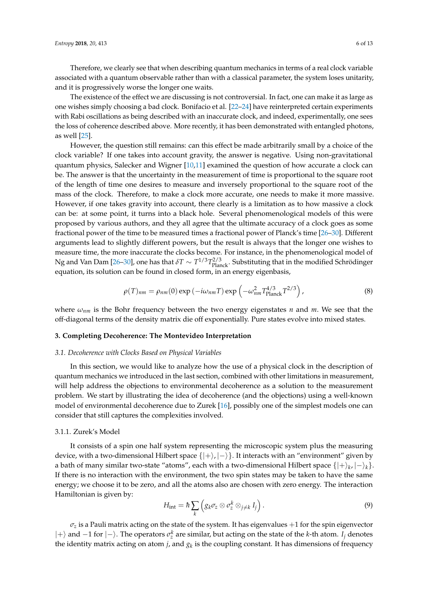Therefore, we clearly see that when describing quantum mechanics in terms of a real clock variable associated with a quantum observable rather than with a classical parameter, the system loses unitarity, and it is progressively worse the longer one waits.

The existence of the effect we are discussing is not controversial. In fact, one can make it as large as one wishes simply choosing a bad clock. Bonifacio et al. [\[22–](#page-13-7)[24\]](#page-13-8) have reinterpreted certain experiments with Rabi oscillations as being described with an inaccurate clock, and indeed, experimentally, one sees the loss of coherence described above. More recently, it has been demonstrated with entangled photons, as well [\[25\]](#page-13-9).

However, the question still remains: can this effect be made arbitrarily small by a choice of the clock variable? If one takes into account gravity, the answer is negative. Using non-gravitational quantum physics, Salecker and Wigner [\[10](#page-12-9)[,11\]](#page-12-10) examined the question of how accurate a clock can be. The answer is that the uncertainty in the measurement of time is proportional to the square root of the length of time one desires to measure and inversely proportional to the square root of the mass of the clock. Therefore, to make a clock more accurate, one needs to make it more massive. However, if one takes gravity into account, there clearly is a limitation as to how massive a clock can be: at some point, it turns into a black hole. Several phenomenological models of this were proposed by various authors, and they all agree that the ultimate accuracy of a clock goes as some fractional power of the time to be measured times a fractional power of Planck's time [\[26](#page-13-10)[–30\]](#page-13-11). Different arguments lead to slightly different powers, but the result is always that the longer one wishes to measure time, the more inaccurate the clocks become. For instance, in the phenomenological model of Ng and Van Dam [\[26–](#page-13-10)[30\]](#page-13-11), one has that  $\delta T \sim T^{1/3} T_{\rm Planck}^{2/3}$ . Substituting that in the modified Schrödinger equation, its solution can be found in closed form, in an energy eigenbasis,

$$
\rho(T)_{nm} = \rho_{nm}(0) \exp\left(-i\omega_{nm}T\right) \exp\left(-\omega_{nm}^2 T_{\text{Planck}}^{4/3} T^{2/3}\right),\tag{8}
$$

where *ωnm* is the Bohr frequency between the two energy eigenstates *n* and *m*. We see that the off-diagonal terms of the density matrix die off exponentially. Pure states evolve into mixed states.

#### **3. Completing Decoherence: The Montevideo Interpretation**

#### *3.1. Decoherence with Clocks Based on Physical Variables*

In this section, we would like to analyze how the use of a physical clock in the description of quantum mechanics we introduced in the last section, combined with other limitations in measurement, will help address the objections to environmental decoherence as a solution to the measurement problem. We start by illustrating the idea of decoherence (and the objections) using a well-known model of environmental decoherence due to Zurek [\[16\]](#page-13-1), possibly one of the simplest models one can consider that still captures the complexities involved.

## 3.1.1. Zurek's Model

It consists of a spin one half system representing the microscopic system plus the measuring device, with a two-dimensional Hilbert space  $\{|+\rangle, |-\rangle\}$ . It interacts with an "environment" given by a bath of many similar two-state "atoms", each with a two-dimensional Hilbert space  $\{ |+\rangle_k, |-\rangle_k \}.$ If there is no interaction with the environment, the two spin states may be taken to have the same energy; we choose it to be zero, and all the atoms also are chosen with zero energy. The interaction Hamiltonian is given by:

$$
H_{\rm int} = \hbar \sum_{k} \left( g_k \sigma_z \otimes \sigma_z^k \otimes_{j \neq k} I_j \right).
$$
 (9)

 $\sigma$ *z* is a Pauli matrix acting on the state of the system. It has eigenvalues  $+1$  for the spin eigenvector  $|+\rangle$  and −1 for  $|-\rangle$ . The operators  $\sigma_z^k$  are similar, but acting on the state of the *k*-th atom. *I<sub>j</sub>* denotes the identity matrix acting on atom  $j$ , and  $g_k$  is the coupling constant. It has dimensions of frequency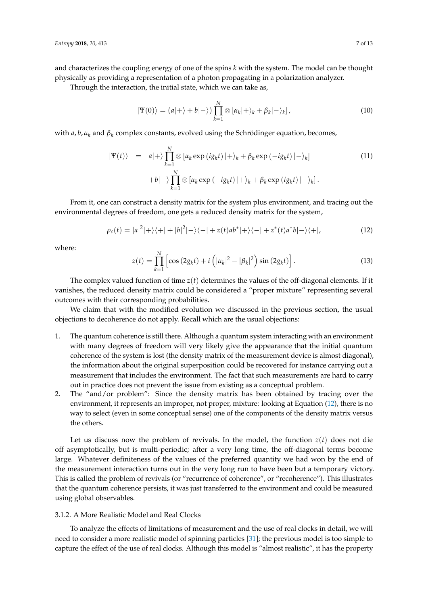and characterizes the coupling energy of one of the spins *k* with the system. The model can be thought physically as providing a representation of a photon propagating in a polarization analyzer.

Through the interaction, the initial state, which we can take as,

$$
|\Psi(0)\rangle = (a|+\rangle + b|-\rangle) \prod_{k=1}^{N} \otimes [\alpha_k|+\rangle_k + \beta_k|-\rangle_k], \qquad (10)
$$

with  $a, b, \alpha_k$  and  $\beta_k$  complex constants, evolved using the Schrödinger equation, becomes,

$$
|\Psi(t)\rangle = a|+\rangle \prod_{k=1}^{N} \otimes [\alpha_k \exp(i g_k t) |+\rangle_k + \beta_k \exp(-i g_k t) |-\rangle_k]
$$
  
+ $b|-\rangle \prod_{k=1}^{N} \otimes [\alpha_k \exp(-i g_k t) |+\rangle_k + \beta_k \exp(i g_k t) |-\rangle_k].$  (11)

From it, one can construct a density matrix for the system plus environment, and tracing out the environmental degrees of freedom, one gets a reduced density matrix for the system,

<span id="page-7-0"></span>
$$
\rho_c(t) = |a|^2|+\rangle\langle+|+|b|^2|-\rangle\langle-|+z(t)ab^*|+\rangle\langle-|+z^*(t)a^*b|-\rangle\langle+|,\tag{12}
$$

where:

$$
z(t) = \prod_{k=1}^{N} \left[ \cos\left(2g_k t\right) + i\left( |\alpha_k|^2 - |\beta_k|^2 \right) \sin\left(2g_k t\right) \right]. \tag{13}
$$

The complex valued function of time  $z(t)$  determines the values of the off-diagonal elements. If it vanishes, the reduced density matrix could be considered a "proper mixture" representing several outcomes with their corresponding probabilities.

We claim that with the modified evolution we discussed in the previous section, the usual objections to decoherence do not apply. Recall which are the usual objections:

- 1. The quantum coherence is still there. Although a quantum system interacting with an environment with many degrees of freedom will very likely give the appearance that the initial quantum coherence of the system is lost (the density matrix of the measurement device is almost diagonal), the information about the original superposition could be recovered for instance carrying out a measurement that includes the environment. The fact that such measurements are hard to carry out in practice does not prevent the issue from existing as a conceptual problem.
- 2. The "and/or problem": Since the density matrix has been obtained by tracing over the environment, it represents an improper, not proper, mixture: looking at Equation [\(12\)](#page-7-0), there is no way to select (even in some conceptual sense) one of the components of the density matrix versus the others.

Let us discuss now the problem of revivals. In the model, the function  $z(t)$  does not die off asymptotically, but is multi-periodic; after a very long time, the off-diagonal terms become large. Whatever definiteness of the values of the preferred quantity we had won by the end of the measurement interaction turns out in the very long run to have been but a temporary victory. This is called the problem of revivals (or "recurrence of coherence", or "recoherence"). This illustrates that the quantum coherence persists, it was just transferred to the environment and could be measured using global observables.

## 3.1.2. A More Realistic Model and Real Clocks

To analyze the effects of limitations of measurement and the use of real clocks in detail, we will need to consider a more realistic model of spinning particles [\[31\]](#page-13-12); the previous model is too simple to capture the effect of the use of real clocks. Although this model is "almost realistic", it has the property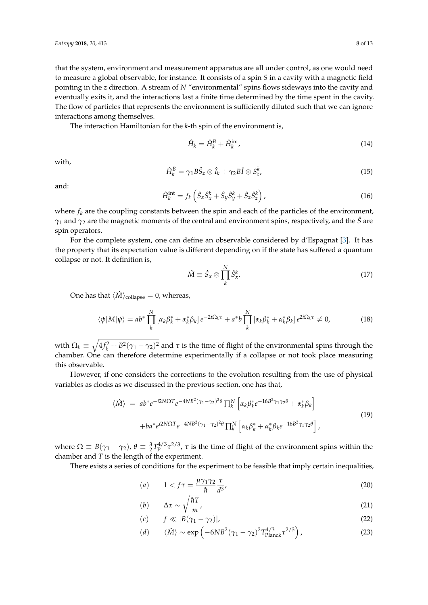that the system, environment and measurement apparatus are all under control, as one would need to measure a global observable, for instance. It consists of a spin *S* in a cavity with a magnetic field pointing in the *z* direction. A stream of *N* "environmental" spins flows sideways into the cavity and eventually exits it, and the interactions last a finite time determined by the time spent in the cavity. The flow of particles that represents the environment is sufficiently diluted such that we can ignore interactions among themselves.

The interaction Hamiltonian for the *k*-th spin of the environment is,

$$
\hat{H}_k = \hat{H}_k^B + \hat{H}_k^{\text{int}} \tag{14}
$$

with,

$$
\hat{H}_k^B = \gamma_1 B \hat{S}_z \otimes \hat{I}_k + \gamma_2 B \hat{I} \otimes S_z^k, \tag{15}
$$

and:

$$
\hat{H}_k^{\text{int}} = f_k \left( \hat{S}_x \hat{S}_x^k + \hat{S}_y \hat{S}_y^k + \hat{S}_z \hat{S}_z^k \right), \tag{16}
$$

where  $f_k$  are the coupling constants between the spin and each of the particles of the environment, *γ*<sub>1</sub> and *γ*<sub>2</sub> are the magnetic moments of the central and environment spins, respectively, and the *S*<sup>∂</sup> are spin operators.

For the complete system, one can define an observable considered by d'Espagnat [\[3\]](#page-12-2). It has the property that its expectation value is different depending on if the state has suffered a quantum collapse or not. It definition is,

$$
\hat{M} \equiv \hat{S}_x \otimes \prod_k^N \hat{S}_x^k. \tag{17}
$$

One has that  $\langle \hat{M} \rangle_{\text{collapse}} = 0$ , whereas,

$$
\langle \psi | M | \psi \rangle = ab^* \prod_k^N \left[ \alpha_k \beta_k^* + \alpha_k^* \beta_k \right] e^{-2i\Omega_k \tau} + a^* b \prod_k^N \left[ \alpha_k \beta_k^* + \alpha_k^* \beta_k \right] e^{2i\Omega_k \tau} \neq 0, \tag{18}
$$

with  $\Omega_k \equiv \sqrt{4f_k^2 + B^2(\gamma_1 - \gamma_2)^2}$  and  $\tau$  is the time of flight of the environmental spins through the chamber. One can therefore determine experimentally if a collapse or not took place measuring this observable.

However, if one considers the corrections to the evolution resulting from the use of physical variables as clocks as we discussed in the previous section, one has that,

<span id="page-8-0"></span>
$$
\langle \hat{M} \rangle = ab^* e^{-i2N\Omega T} e^{-4NB^2(\gamma_1 - \gamma_2)^2 \theta} \prod_k^N \left[ \alpha_k \beta_k^* e^{-16B^2 \gamma_1 \gamma_2 \theta} + \alpha_k^* \beta_k \right]
$$
  
+ 
$$
ba^* e^{i2N\Omega T} e^{-4NB^2(\gamma_1 - \gamma_2)^2 \theta} \prod_k^N \left[ \alpha_k \beta_k^* + \alpha_k^* \beta_k e^{-16B^2 \gamma_1 \gamma_2 \theta} \right],
$$
 (19)

where  $\Omega \equiv B(\gamma_1 - \gamma_2)$ ,  $\theta \equiv \frac{3}{2}T_P^{4/3}\tau^{2/3}$ ,  $\tau$  is the time of flight of the environment spins within the chamber and *T* is the length of the experiment.

There exists a series of conditions for the experiment to be feasible that imply certain inequalities,

<span id="page-8-1"></span>
$$
(a) \qquad 1 < f\tau = \frac{\mu\gamma_1\gamma_2}{\hbar} \frac{\tau}{d^3},\tag{20}
$$

$$
(b) \qquad \Delta x \sim \sqrt{\frac{\hbar T}{m}}, \tag{21}
$$

$$
(c) \t f \ll |B(\gamma_1 - \gamma_2)|,\t(22)
$$

(d) 
$$
\langle \hat{M} \rangle \sim \exp\left(-6NB^2(\gamma_1 - \gamma_2)^2 T_{\text{Planck}}^{4/3} \tau^{2/3}\right)
$$
, (23)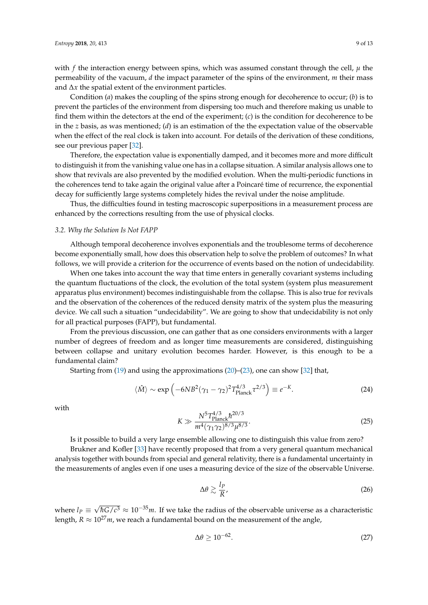with  $f$  the interaction energy between spins, which was assumed constant through the cell,  $\mu$  the permeability of the vacuum, *d* the impact parameter of the spins of the environment, *m* their mass and ∆*x* the spatial extent of the environment particles.

Condition (*a*) makes the coupling of the spins strong enough for decoherence to occur; (*b*) is to prevent the particles of the environment from dispersing too much and therefore making us unable to find them within the detectors at the end of the experiment; (*c*) is the condition for decoherence to be in the *z* basis, as was mentioned; (*d*) is an estimation of the the expectation value of the observable when the effect of the real clock is taken into account. For details of the derivation of these conditions, see our previous paper [\[32\]](#page-13-13).

Therefore, the expectation value is exponentially damped, and it becomes more and more difficult to distinguish it from the vanishing value one has in a collapse situation. A similar analysis allows one to show that revivals are also prevented by the modified evolution. When the multi-periodic functions in the coherences tend to take again the original value after a Poincaré time of recurrence, the exponential decay for sufficiently large systems completely hides the revival under the noise amplitude.

Thus, the difficulties found in testing macroscopic superpositions in a measurement process are enhanced by the corrections resulting from the use of physical clocks.

### *3.2. Why the Solution Is Not FAPP*

Although temporal decoherence involves exponentials and the troublesome terms of decoherence become exponentially small, how does this observation help to solve the problem of outcomes? In what follows, we will provide a criterion for the occurrence of events based on the notion of undecidability.

When one takes into account the way that time enters in generally covariant systems including the quantum fluctuations of the clock, the evolution of the total system (system plus measurement apparatus plus environment) becomes indistinguishable from the collapse. This is also true for revivals and the observation of the coherences of the reduced density matrix of the system plus the measuring device. We call such a situation "undecidability". We are going to show that undecidability is not only for all practical purposes (FAPP), but fundamental.

From the previous discussion, one can gather that as one considers environments with a larger number of degrees of freedom and as longer time measurements are considered, distinguishing between collapse and unitary evolution becomes harder. However, is this enough to be a fundamental claim?

Starting from [\(19\)](#page-8-0) and using the approximations [\(20\)](#page-8-1)–[\(23\)](#page-8-1), one can show [\[32\]](#page-13-13) that,

$$
\langle \hat{M} \rangle \sim \exp\left(-6NB^2(\gamma_1 - \gamma_2)^2 T_{\text{Planck}}^{4/3} \tau^{2/3}\right) \equiv e^{-K}.\tag{24}
$$

with

$$
K \gg \frac{N^5 T_{\text{Planck}}^{4/3} \hbar^{20/3}}{m^4 (\gamma_1 \gamma_2)^{8/3} \mu^{8/3}}.
$$
\n(25)

Is it possible to build a very large ensemble allowing one to distinguish this value from zero?

Brukner and Kofler [\[33\]](#page-13-14) have recently proposed that from a very general quantum mechanical analysis together with bounds from special and general relativity, there is a fundamental uncertainty in the measurements of angles even if one uses a measuring device of the size of the observable Universe.

$$
\Delta\theta \gtrsim \frac{l_P}{R},\tag{26}
$$

where  $l_P \equiv$ √ *hG*/ $c^3$  ≈ 10<sup>-35</sup>*m*. If we take the radius of the observable universe as a characteristic length,  $R \approx 10^{27}$ *m*, we reach a fundamental bound on the measurement of the angle,

$$
\Delta \theta \ge 10^{-62}.\tag{27}
$$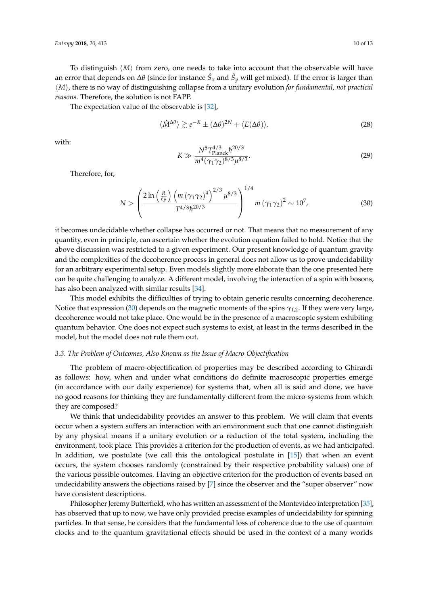*reasons*. Therefore, the solution is not FAPP. The expectation value of the observable is [\[32\]](#page-13-13),

$$
\langle \hat{M}^{\Delta\theta} \rangle \gtrsim e^{-K} \pm (\Delta\theta)^{2N} + \langle E(\Delta\theta) \rangle.
$$
 (28)

with:

$$
K \gg \frac{N^5 T_{\text{Planck}}^{4/3} \hbar^{20/3}}{m^4 (\gamma_1 \gamma_2)^{8/3} \mu^{8/3}}.
$$
\n(29)

Therefore, for,

<span id="page-10-0"></span>
$$
N > \left(\frac{2\ln\left(\frac{R}{\ell_P}\right) \left(m \left(\gamma_1 \gamma_2\right)^4\right)^{2/3} \mu^{8/3}}{T^{4/3} \hbar^{20/3}}\right)^{1/4} m \left(\gamma_1 \gamma_2\right)^2 \sim 10^7, \tag{30}
$$

it becomes undecidable whether collapse has occurred or not. That means that no measurement of any quantity, even in principle, can ascertain whether the evolution equation failed to hold. Notice that the above discussion was restricted to a given experiment. Our present knowledge of quantum gravity and the complexities of the decoherence process in general does not allow us to prove undecidability for an arbitrary experimental setup. Even models slightly more elaborate than the one presented here can be quite challenging to analyze. A different model, involving the interaction of a spin with bosons, has also been analyzed with similar results [\[34\]](#page-13-15).

h*M*i, there is no way of distinguishing collapse from a unitary evolution *for fundamental, not practical*

This model exhibits the difficulties of trying to obtain generic results concerning decoherence. Notice that expression [\(30\)](#page-10-0) depends on the magnetic moments of the spins *γ*1,2. If they were very large, decoherence would not take place. One would be in the presence of a macroscopic system exhibiting quantum behavior. One does not expect such systems to exist, at least in the terms described in the model, but the model does not rule them out.

#### *3.3. The Problem of Outcomes, Also Known as the Issue of Macro-Objectification*

The problem of macro-objectification of properties may be described according to Ghirardi as follows: how, when and under what conditions do definite macroscopic properties emerge (in accordance with our daily experience) for systems that, when all is said and done, we have no good reasons for thinking they are fundamentally different from the micro-systems from which they are composed?

We think that undecidability provides an answer to this problem. We will claim that events occur when a system suffers an interaction with an environment such that one cannot distinguish by any physical means if a unitary evolution or a reduction of the total system, including the environment, took place. This provides a criterion for the production of events, as we had anticipated. In addition, we postulate (we call this the ontological postulate in [\[15\]](#page-13-0)) that when an event occurs, the system chooses randomly (constrained by their respective probability values) one of the various possible outcomes. Having an objective criterion for the production of events based on undecidability answers the objections raised by [\[7\]](#page-12-6) since the observer and the "super observer" now have consistent descriptions.

Philosopher Jeremy Butterfield, who has written an assessment of the Montevideo interpretation [\[35\]](#page-13-16), has observed that up to now, we have only provided precise examples of undecidability for spinning particles. In that sense, he considers that the fundamental loss of coherence due to the use of quantum clocks and to the quantum gravitational effects should be used in the context of a many worlds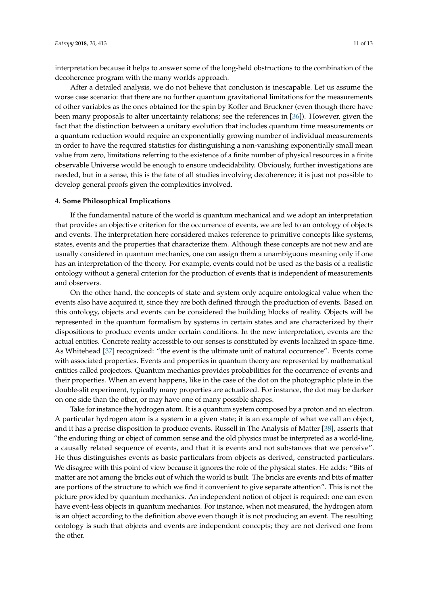interpretation because it helps to answer some of the long-held obstructions to the combination of the decoherence program with the many worlds approach.

After a detailed analysis, we do not believe that conclusion is inescapable. Let us assume the worse case scenario: that there are no further quantum gravitational limitations for the measurements of other variables as the ones obtained for the spin by Kofler and Bruckner (even though there have been many proposals to alter uncertainty relations; see the references in [\[36\]](#page-13-17)). However, given the fact that the distinction between a unitary evolution that includes quantum time measurements or a quantum reduction would require an exponentially growing number of individual measurements in order to have the required statistics for distinguishing a non-vanishing exponentially small mean value from zero, limitations referring to the existence of a finite number of physical resources in a finite observable Universe would be enough to ensure undecidability. Obviously, further investigations are needed, but in a sense, this is the fate of all studies involving decoherence; it is just not possible to develop general proofs given the complexities involved.

### **4. Some Philosophical Implications**

If the fundamental nature of the world is quantum mechanical and we adopt an interpretation that provides an objective criterion for the occurrence of events, we are led to an ontology of objects and events. The interpretation here considered makes reference to primitive concepts like systems, states, events and the properties that characterize them. Although these concepts are not new and are usually considered in quantum mechanics, one can assign them a unambiguous meaning only if one has an interpretation of the theory. For example, events could not be used as the basis of a realistic ontology without a general criterion for the production of events that is independent of measurements and observers.

On the other hand, the concepts of state and system only acquire ontological value when the events also have acquired it, since they are both defined through the production of events. Based on this ontology, objects and events can be considered the building blocks of reality. Objects will be represented in the quantum formalism by systems in certain states and are characterized by their dispositions to produce events under certain conditions. In the new interpretation, events are the actual entities. Concrete reality accessible to our senses is constituted by events localized in space-time. As Whitehead [\[37\]](#page-13-18) recognized: "the event is the ultimate unit of natural occurrence". Events come with associated properties. Events and properties in quantum theory are represented by mathematical entities called projectors. Quantum mechanics provides probabilities for the occurrence of events and their properties. When an event happens, like in the case of the dot on the photographic plate in the double-slit experiment, typically many properties are actualized. For instance, the dot may be darker on one side than the other, or may have one of many possible shapes.

Take for instance the hydrogen atom. It is a quantum system composed by a proton and an electron. A particular hydrogen atom is a system in a given state; it is an example of what we call an object, and it has a precise disposition to produce events. Russell in The Analysis of Matter [\[38\]](#page-13-19), asserts that "the enduring thing or object of common sense and the old physics must be interpreted as a world-line, a causally related sequence of events, and that it is events and not substances that we perceive". He thus distinguishes events as basic particulars from objects as derived, constructed particulars. We disagree with this point of view because it ignores the role of the physical states. He adds: "Bits of matter are not among the bricks out of which the world is built. The bricks are events and bits of matter are portions of the structure to which we find it convenient to give separate attention". This is not the picture provided by quantum mechanics. An independent notion of object is required: one can even have event-less objects in quantum mechanics. For instance, when not measured, the hydrogen atom is an object according to the definition above even though it is not producing an event. The resulting ontology is such that objects and events are independent concepts; they are not derived one from the other.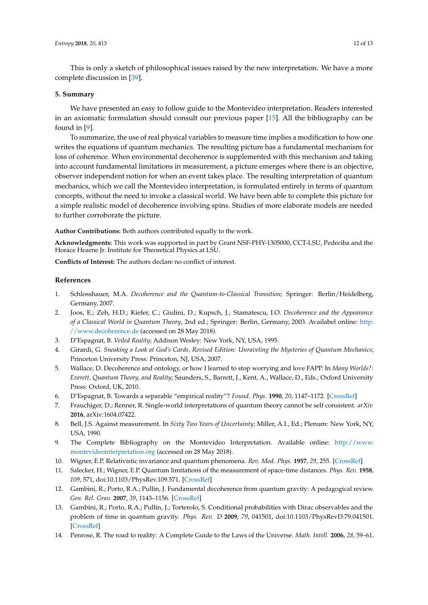This is only a sketch of philosophical issues raised by the new interpretation. We have a more complete discussion in [\[39\]](#page-13-20).

#### **5. Summary**

We have presented an easy to follow guide to the Montevideo interpretation. Readers interested in an axiomatic formulation should consult our previous paper [\[15\]](#page-13-0). All the bibliography can be found in [\[9\]](#page-12-8).

To summarize, the use of real physical variables to measure time implies a modification to how one writes the equations of quantum mechanics. The resulting picture has a fundamental mechanism for loss of coherence. When environmental decoherence is supplemented with this mechanism and taking into account fundamental limitations in measurement, a picture emerges where there is an objective, observer independent notion for when an event takes place. The resulting interpretation of quantum mechanics, which we call the Montevideo interpretation, is formulated entirely in terms of quantum concepts, without the need to invoke a classical world. We have been able to complete this picture for a simple realistic model of decoherence involving spins. Studies of more elaborate models are needed to further corroborate the picture.

**Author Contributions:** Both authors contributed equally to the work.

**Acknowledgments:** This work was supported in part by Grant NSF-PHY-1305000, CCT-LSU, Pedeciba and the Horace Hearne Jr. Institute for Theoretical Physics at LSU.

**Conflicts of Interest:** The authors declare no conflict of interest.

## **References**

- <span id="page-12-0"></span>1. Schlosshauer, M.A. *Decoherence and the Quantum-to-Classical Transition*; Springer: Berlin/Heidelberg, Germany, 2007.
- <span id="page-12-1"></span>2. Joos, E.; Zeh, H.D.; Kiefer, C.; Giulini, D.; Kupsch, J.; Stamatescu, I.O. *Decoherence and the Appearance of a Classical World in Quantum Theory*, 2nd ed.; Springer: Berlin, Germany, 2003. Availabel online: [http:](http://www.decoherence.de) [//www.decoherence.de](http://www.decoherence.de) (accessed on 28 May 2018).
- <span id="page-12-2"></span>3. D'Espagnat, B. *Veiled Reality*; Addison Wesley: New York, NY, USA, 1995.
- <span id="page-12-3"></span>4. Girardi, G. *Sneaking a Look at God's Cards, Revised Edition: Unraveling the Mysteries of Quantum Mechanics*; Princeton University Press: Princeton, NJ, USA, 2007.
- <span id="page-12-4"></span>5. Wallace, D. Decoherence and ontology, or how I learned to stop worrying and love FAPP. In *Many Worlds?: Everett, Quantum Theory, and Reality*; Saunders, S., Barrett, J., Kent, A., Wallace, D., Eds.; Oxford University Press: Oxford, UK, 2010.
- <span id="page-12-5"></span>6. D'Espagnat, B. Towards a separable "empirical reality"? *Found. Phys.* **1990**, *20*, 1147–1172. [\[CrossRef\]](http://dx.doi.org/10.1007/BF01889463)
- <span id="page-12-6"></span>7. Frauchiger, D.; Renner, R. Single-world interpretations of quantum theory cannot be self consistent. *arXiv* **2016**, arXiv:1604.07422.
- <span id="page-12-7"></span>8. Bell, J.S. Against measurement. In *Sixty Two Years of Uncertainty*; Miller, A.I., Ed.; Plenum: New York, NY, USA, 1990.
- <span id="page-12-8"></span>9. The Complete Bibliography on the Montevideo Interpretation. Available online: [http://www.](http://www.montevideointerpretation.org) [montevideointerpretation.org](http://www.montevideointerpretation.org) (accessed on 28 May 2018).
- <span id="page-12-9"></span>10. Wigner, E.P. Relativistic invariance and quantum phenomena. *Rev. Mod. Phys.* **1957**, *29*, 255. [\[CrossRef\]](http://dx.doi.org/10.1103/RevModPhys.29.255)
- <span id="page-12-10"></span>11. Salecker, H.; Wigner, E.P. Quantum limitations of the measurement of space-time distances. *Phys. Rev.* **1958**, *109*, 571, doi:10.1103/PhysRev.109.571. [\[CrossRef\]](http://dx.doi.org/10.1103/PhysRev.109.571)
- <span id="page-12-11"></span>12. Gambini, R.; Porto, R.A.; Pullin, J. Fundamental decoherence from quantum gravity: A pedagogical review. *Gen. Rel. Grav.* **2007**, *39*, 1143–1156. [\[CrossRef\]](http://dx.doi.org/10.1007/s10714-007-0451-1)
- <span id="page-12-12"></span>13. Gambini, R.; Porto, R.A.; Pullin, J.; Torterolo, S. Conditional probabilities with Dirac observables and the problem of time in quantum gravity. *Phys. Rev. D* **2009**, *79*, 041501, doi:10.1103/PhysRevD.79.041501. [\[CrossRef\]](http://dx.doi.org/10.1103/PhysRevD.79.041501)
- <span id="page-12-13"></span>14. Penrose, R. The road to reality: A Complete Guide to the Laws of the Universe. *Math. Intell.* **2006**, *28*, 59–61.